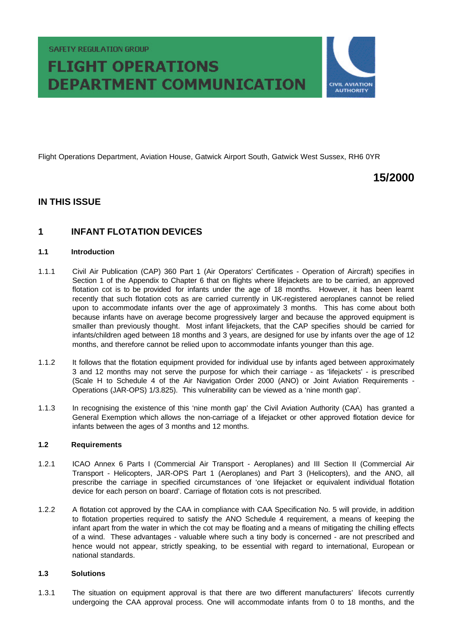**SAFETY REGULATION GROUP** 

# **FLIGHT OPERATIONS DEPARTMENT COMMUNICATION**



Flight Operations Department, Aviation House, Gatwick Airport South, Gatwick West Sussex, RH6 0YR

# **15/2000**

### **IN THIS ISSUE**

## **1 INFANT FLOTATION DEVICES**

#### **1.1 Introduction**

- 1.1.1 Civil Air Publication (CAP) 360 Part 1 (Air Operators' Certificates Operation of Aircraft) specifies in Section 1 of the Appendix to Chapter 6 that on flights where lifejackets are to be carried, an approved flotation cot is to be provided for infants under the age of 18 months. However, it has been learnt recently that such flotation cots as are carried currently in UK-registered aeroplanes cannot be relied upon to accommodate infants over the age of approximately 3 months. This has come about both because infants have on average become progressively larger and because the approved equipment is smaller than previously thought. Most infant lifejackets, that the CAP specifies should be carried for infants/children aged between 18 months and 3 years, are designed for use by infants over the age of 12 months, and therefore cannot be relied upon to accommodate infants younger than this age.
- 1.1.2 It follows that the flotation equipment provided for individual use by infants aged between approximately 3 and 12 months may not serve the purpose for which their carriage - as 'lifejackets' - is prescribed (Scale H to Schedule 4 of the Air Navigation Order 2000 (ANO) or Joint Aviation Requirements - Operations (JAR-OPS) 1/3.825). This vulnerability can be viewed as a 'nine month gap'.
- 1.1.3 In recognising the existence of this 'nine month gap' the Civil Aviation Authority (CAA) has granted a General Exemption which allows the non-carriage of a lifejacket or other approved flotation device for infants between the ages of 3 months and 12 months.

#### **1.2 Requirements**

- 1.2.1 ICAO Annex 6 Parts I (Commercial Air Transport Aeroplanes) and III Section II (Commercial Air Transport - Helicopters, JAR-OPS Part 1 (Aeroplanes) and Part 3 (Helicopters), and the ANO, all prescribe the carriage in specified circumstances of 'one lifejacket or equivalent individual flotation device for each person on board'. Carriage of flotation cots is not prescribed.
- 1.2.2 A flotation cot approved by the CAA in compliance with CAA Specification No. 5 will provide, in addition to flotation properties required to satisfy the ANO Schedule 4 requirement, a means of keeping the infant apart from the water in which the cot may be floating and a means of mitigating the chilling effects of a wind. These advantages - valuable where such a tiny body is concerned - are not prescribed and hence would not appear, strictly speaking, to be essential with regard to international, European or national standards.

#### **1.3 Solutions**

1.3.1 The situation on equipment approval is that there are two different manufacturers' lifecots currently undergoing the CAA approval process. One will accommodate infants from 0 to 18 months, and the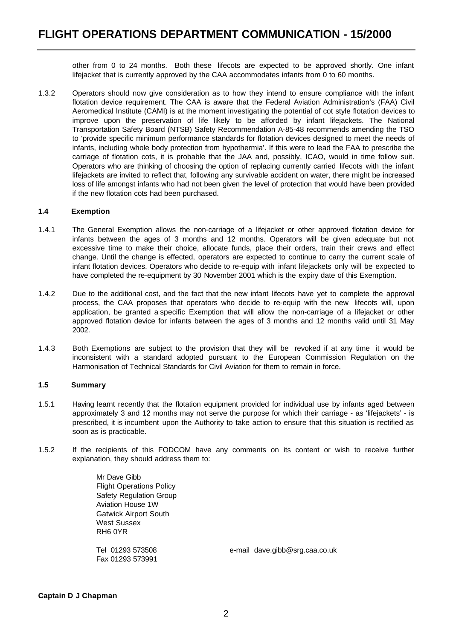other from 0 to 24 months. Both these lifecots are expected to be approved shortly. One infant lifejacket that is currently approved by the CAA accommodates infants from 0 to 60 months.

1.3.2 Operators should now give consideration as to how they intend to ensure compliance with the infant flotation device requirement. The CAA is aware that the Federal Aviation Administration's (FAA) Civil Aeromedical Institute (CAMI) is at the moment investigating the potential of cot style flotation devices to improve upon the preservation of life likely to be afforded by infant lifejackets. The National Transportation Safety Board (NTSB) Safety Recommendation A-85-48 recommends amending the TSO to 'provide specific minimum performance standards for flotation devices designed to meet the needs of infants, including whole body protection from hypothermia'. If this were to lead the FAA to prescribe the carriage of flotation cots, it is probable that the JAA and, possibly, ICAO, would in time follow suit. Operators who are thinking of choosing the option of replacing currently carried lifecots with the infant lifejackets are invited to reflect that, following any survivable accident on water, there might be increased loss of life amongst infants who had not been given the level of protection that would have been provided if the new flotation cots had been purchased.

#### **1.4 Exemption**

- 1.4.1 The General Exemption allows the non-carriage of a lifejacket or other approved flotation device for infants between the ages of 3 months and 12 months. Operators will be given adequate but not excessive time to make their choice, allocate funds, place their orders, train their crews and effect change. Until the change is effected, operators are expected to continue to carry the current scale of infant flotation devices. Operators who decide to re-equip with infant lifejackets only will be expected to have completed the re-equipment by 30 November 2001 which is the expiry date of this Exemption.
- 1.4.2 Due to the additional cost, and the fact that the new infant lifecots have yet to complete the approval process, the CAA proposes that operators who decide to re-equip with the new lifecots will, upon application, be granted a specific Exemption that will allow the non-carriage of a lifejacket or other approved flotation device for infants between the ages of 3 months and 12 months valid until 31 May 2002.
- 1.4.3 Both Exemptions are subject to the provision that they will be revoked if at any time it would be inconsistent with a standard adopted pursuant to the European Commission Regulation on the Harmonisation of Technical Standards for Civil Aviation for them to remain in force.

#### **1.5 Summary**

- 1.5.1 Having learnt recently that the flotation equipment provided for individual use by infants aged between approximately 3 and 12 months may not serve the purpose for which their carriage - as 'lifejackets' - is prescribed, it is incumbent upon the Authority to take action to ensure that this situation is rectified as soon as is practicable.
- 1.5.2 If the recipients of this FODCOM have any comments on its content or wish to receive further explanation, they should address them to:

Mr Dave Gibb Flight Operations Policy Safety Regulation Group Aviation House 1W Gatwick Airport South West Sussex RH6 0YR

Fax 01293 573991

Tel 01293 573508 e-mail dave.gibb@srg.caa.co.uk